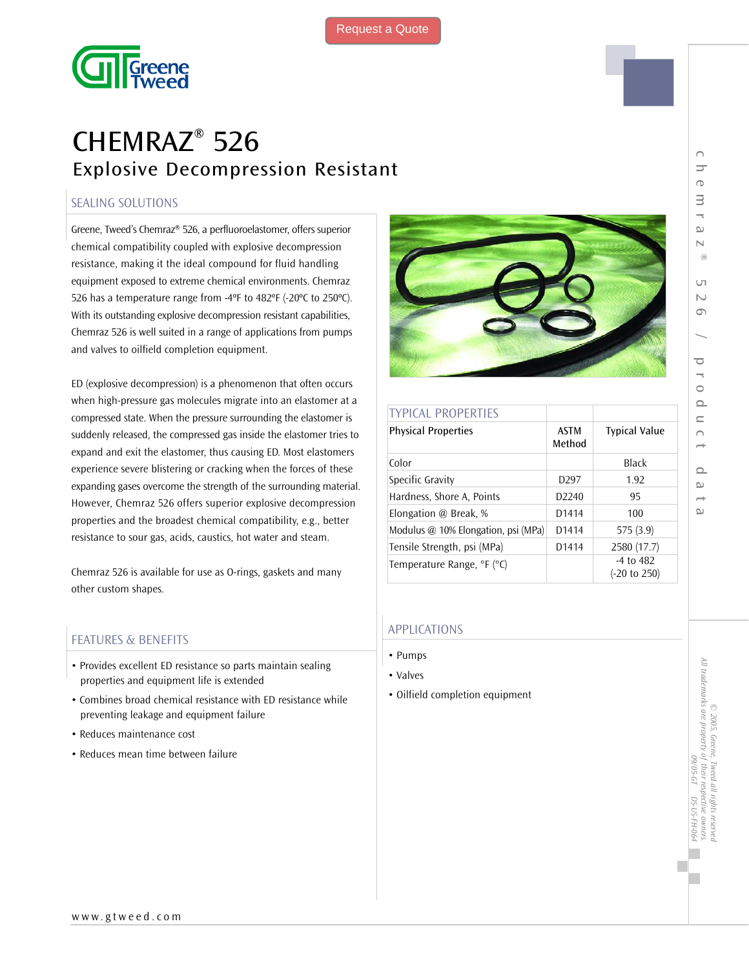

# CHEMRAZ® 526 Explosive Decompression Resistant

## SEALING SOLUTIONS

Greene, Tweed's Chemraz® 526, a perfluoroelastomer, offers superior chemical compatibility coupled with explosive decompression resistance, making it the ideal compound for fluid handling equipment exposed to extreme chemical environments. Chemraz 526 has a temperature range from -4ºF to 482ºF (-20ºC to 250ºC). With its outstanding explosive decompression resistant capabilities, Chemraz 526 is well suited in a range of applications from pumps and valves to oilfield completion equipment.

ED (explosive decompression) is a phenomenon that often occurs when high-pressure gas molecules migrate into an elastomer at a compressed state. When the pressure surrounding the elastomer is suddenly released, the compressed gas inside the elastomer tries to expand and exit the elastomer, thus causing ED. Most elastomers experience severe blistering or cracking when the forces of these expanding gases overcome the strength of the surrounding material. However, Chemraz 526 offers superior explosive decompression properties and the broadest chemical compatibility, e.g., better resistance to sour gas, acids, caustics, hot water and steam.

Chemraz 526 is available for use as O-rings, gaskets and many other custom shapes.

## FEATURES & BENEFITS

- Provides excellent ED resistance so parts maintain sealing properties and equipment life is extended
- Combines broad chemical resistance with ED resistance while preventing leakage and equipment failure
- Reduces maintenance cost
- Reduces mean time between failure



| <b>TYPICAL PROPERTIES</b>           |                       |                                          |  |
|-------------------------------------|-----------------------|------------------------------------------|--|
| <b>Physical Properties</b>          | <b>ASTM</b><br>Method | <b>Typical Value</b>                     |  |
| Color                               |                       | <b>Black</b>                             |  |
| Specific Gravity                    | D <sub>297</sub>      | 1.92                                     |  |
| Hardness, Shore A, Points           | D <sub>2240</sub>     | 95                                       |  |
| Elongation @ Break, %               | D1414                 | 100                                      |  |
| Modulus @ 10% Elongation, psi (MPa) | D <sub>1414</sub>     | 575 (3.9)                                |  |
| Tensile Strength, psi (MPa)         | D1414                 | 2580 (17.7)                              |  |
| Temperature Range, °F (°C)          |                       | $-4$ to $482$<br>$(-20 \text{ to } 250)$ |  |

## APPLICATIONS

- Pumps
- Valves
- Oilfield completion equipment